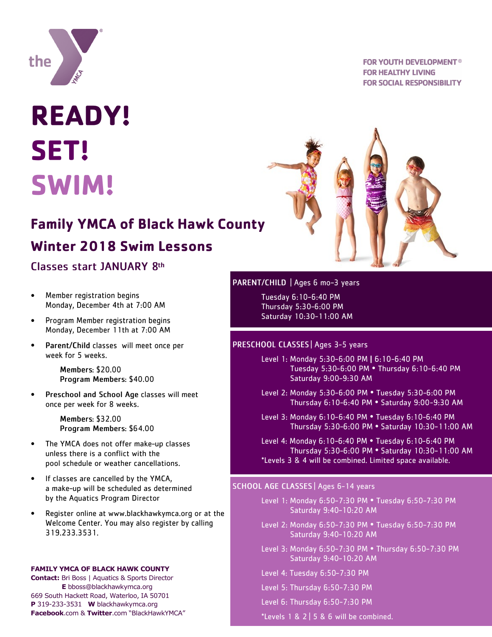

# **READY! SET! SWIM!**

## **Family YMCA of Black Hawk County**

## Winter 2018 Swim Lessons

## Classes start JANUARY 8th

- Member registration begins  $\bullet$ Monday, December 4th at 7:00 AM
- Program Member registration begins  $\bullet$ Monday, December 11th at 7:00 AM
- Parent/Child classes will meet once per  $\bullet$ week for 5 weeks.

**Members: \$20.00** Program Members: \$40.00

 $\bullet$ Preschool and School Age classes will meet once per week for 8 weeks.

> Members: \$32.00 Program Members: \$64.00

- $\bullet$ The YMCA does not offer make-up classes unless there is a conflict with the pool schedule or weather cancellations.
- $\bullet$ If classes are cancelled by the YMCA, a make-up will be scheduled as determined by the Aquatics Program Director
- Register online at www.blackhawkymca.org or at the  $\bullet$ Welcome Center. You may also register by calling 319.233.3531.

### **FAMILY YMCA OF BLACK HAWK COUNTY**

**Contact:** Bri Boss | Aquatics & Sports Director **E** bboss@blackhawkymca.org 669 South Hackett Road, Waterloo, IA 50701 **P** 319-233-3531 **W** blackhawkymca.org **Facebook**.com & **Twitter**.com "BlackHawkYMCA"

## **FOR YOUTH DEVELOPMENT<sup>®</sup> FOR HEALTHY LIVING FOR SOCIAL RESPONSIBILITY**



## PARENT/CHILD | Ages 6 mo-3 years

Tuesday 6:10-6:40 PM Thursday 5:30-6:00 PM Saturday 10:30-11:00 AM

## PRESCHOOL CLASSES | Ages 3-5 years

- Level 1: Monday 5:30-6:00 PM | 6:10-6:40 PM Tuesday 5:30-6:00 PM . Thursday 6:10-6:40 PM Saturday 9:00-9:30 AM
- Level 2: Monday 5:30-6:00 PM . Tuesday 5:30-6:00 PM Thursday 6:10-6:40 PM . Saturday 9:00-9:30 AM
- Level 3: Monday 6:10-6:40 PM . Tuesday 6:10-6:40 PM Thursday 5:30-6:00 PM . Saturday 10:30-11:00 AM
- Level 4: Monday 6:10-6:40 PM . Tuesday 6:10-6:40 PM Thursday 5:30-6:00 PM . Saturday 10:30-11:00 AM \*Levels 3 & 4 will be combined. Limited space available.

## SCHOOL AGE CLASSES | Ages 6-14 years

- Level 1: Monday 6:50-7:30 PM . Tuesday 6:50-7:30 PM Saturday 9:40-10:20 AM
- Level 2: Monday 6:50-7:30 PM . Tuesday 6:50-7:30 PM Saturday 9:40-10:20 AM
- Level 3: Monday 6:50-7:30 PM . Thursday 6:50-7:30 PM Saturday 9:40-10:20 AM
- Level 4: Tuesday 6:50-7:30 PM
- Level 5: Thursday 6:50-7:30 PM
- Level 6: Thursday 6:50-7:30 PM
- \*Levels 1 & 2 | 5 & 6 will be combined.